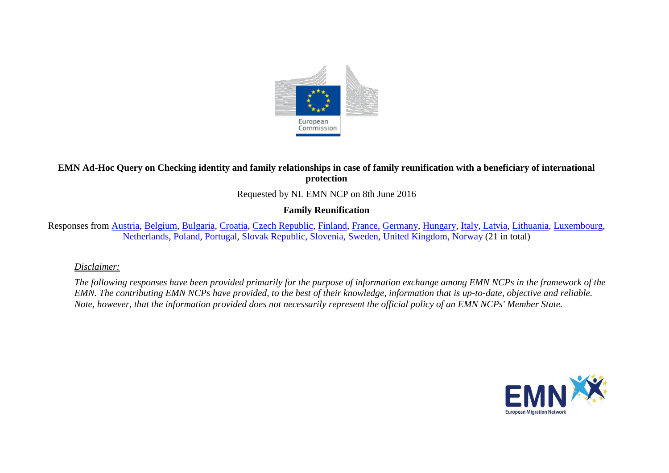

## **EMN Ad-Hoc Query on Checking identity and family relationships in case of family reunification with a beneficiary of international protection**

Requested by NL EMN NCP on 8th June 2016

### **Family Reunification**

Responses from [Austria,](#page-2-0) [Belgium,](#page-3-0) [Bulgaria,](#page-4-0) [Croatia,](#page-4-1) [Czech Republic,](#page-5-0) [Finland,](#page-6-0) [France,](#page-7-0) [Germany,](#page-9-0) [Hungary,](#page-10-0) [Italy,](#page-11-0) [Latvia,](#page-12-0) [Lithuania,](#page-13-0) [Luxembourg,](#page-14-0) [Netherlands,](#page-16-0) [Poland,](#page-17-0) [Portugal,](#page-18-0) [Slovak Republic,](#page-19-0) [Slovenia,](#page-20-0) [Sweden,](#page-21-0) [United Kingdom,](#page-22-0) [Norway](#page-23-0) (21 in total)

#### *Disclaimer:*

*The following responses have been provided primarily for the purpose of information exchange among EMN NCPs in the framework of the EMN. The contributing EMN NCPs have provided, to the best of their knowledge, information that is up-to-date, objective and reliable. Note, however, that the information provided does not necessarily represent the official policy of an EMN NCPs' Member State.*

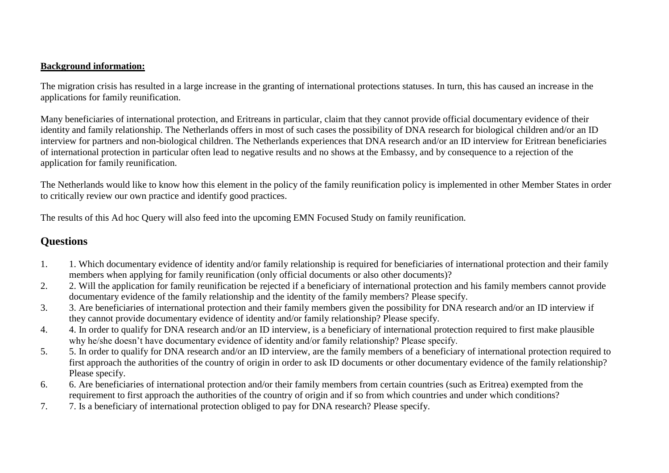#### **Background information:**

The migration crisis has resulted in a large increase in the granting of international protections statuses. In turn, this has caused an increase in the applications for family reunification.

Many beneficiaries of international protection, and Eritreans in particular, claim that they cannot provide official documentary evidence of their identity and family relationship. The Netherlands offers in most of such cases the possibility of DNA research for biological children and/or an ID interview for partners and non-biological children. The Netherlands experiences that DNA research and/or an ID interview for Eritrean beneficiaries of international protection in particular often lead to negative results and no shows at the Embassy, and by consequence to a rejection of the application for family reunification.

The Netherlands would like to know how this element in the policy of the family reunification policy is implemented in other Member States in order to critically review our own practice and identify good practices.

The results of this Ad hoc Query will also feed into the upcoming EMN Focused Study on family reunification.

# **Questions**

- 1. 1. Which documentary evidence of identity and/or family relationship is required for beneficiaries of international protection and their family members when applying for family reunification (only official documents or also other documents)?
- 2. 2. Will the application for family reunification be rejected if a beneficiary of international protection and his family members cannot provide documentary evidence of the family relationship and the identity of the family members? Please specify.
- 3. 3. Are beneficiaries of international protection and their family members given the possibility for DNA research and/or an ID interview if they cannot provide documentary evidence of identity and/or family relationship? Please specify.
- 4. 4. In order to qualify for DNA research and/or an ID interview, is a beneficiary of international protection required to first make plausible why he/she doesn't have documentary evidence of identity and/or family relationship? Please specify.
- 5. 5. In order to qualify for DNA research and/or an ID interview, are the family members of a beneficiary of international protection required to first approach the authorities of the country of origin in order to ask ID documents or other documentary evidence of the family relationship? Please specify.
- 6. 6. Are beneficiaries of international protection and/or their family members from certain countries (such as Eritrea) exempted from the requirement to first approach the authorities of the country of origin and if so from which countries and under which conditions?
- 7. 7. Is a beneficiary of international protection obliged to pay for DNA research? Please specify.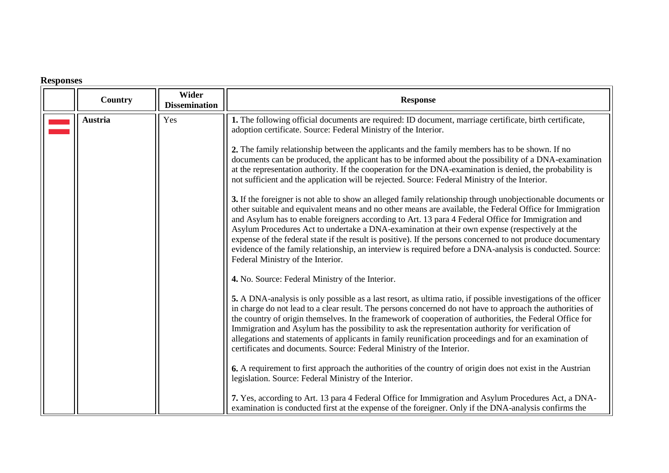# **Responses**

<span id="page-2-0"></span>

| Country | Wider<br><b>Dissemination</b> | <b>Response</b>                                                                                                                                                                                                                                                                                                                                                                                                                                                                                                                                                                                                                                                                                                                                                                                                                                                                                                                                                                                                                                                                                                                                                                                                                                                        |
|---------|-------------------------------|------------------------------------------------------------------------------------------------------------------------------------------------------------------------------------------------------------------------------------------------------------------------------------------------------------------------------------------------------------------------------------------------------------------------------------------------------------------------------------------------------------------------------------------------------------------------------------------------------------------------------------------------------------------------------------------------------------------------------------------------------------------------------------------------------------------------------------------------------------------------------------------------------------------------------------------------------------------------------------------------------------------------------------------------------------------------------------------------------------------------------------------------------------------------------------------------------------------------------------------------------------------------|
| Austria | Yes                           | 1. The following official documents are required: ID document, marriage certificate, birth certificate,<br>adoption certificate. Source: Federal Ministry of the Interior.<br>2. The family relationship between the applicants and the family members has to be shown. If no<br>documents can be produced, the applicant has to be informed about the possibility of a DNA-examination<br>at the representation authority. If the cooperation for the DNA-examination is denied, the probability is<br>not sufficient and the application will be rejected. Source: Federal Ministry of the Interior.<br>3. If the foreigner is not able to show an alleged family relationship through unobjectionable documents or<br>other suitable and equivalent means and no other means are available, the Federal Office for Immigration<br>and Asylum has to enable foreigners according to Art. 13 para 4 Federal Office for Immigration and<br>Asylum Procedures Act to undertake a DNA-examination at their own expense (respectively at the<br>expense of the federal state if the result is positive). If the persons concerned to not produce documentary<br>evidence of the family relationship, an interview is required before a DNA-analysis is conducted. Source: |
|         |                               | Federal Ministry of the Interior.<br>4. No. Source: Federal Ministry of the Interior.<br>5. A DNA-analysis is only possible as a last resort, as ultima ratio, if possible investigations of the officer<br>in charge do not lead to a clear result. The persons concerned do not have to approach the authorities of<br>the country of origin themselves. In the framework of cooperation of authorities, the Federal Office for<br>Immigration and Asylum has the possibility to ask the representation authority for verification of<br>allegations and statements of applicants in family reunification proceedings and for an examination of<br>certificates and documents. Source: Federal Ministry of the Interior.<br>6. A requirement to first approach the authorities of the country of origin does not exist in the Austrian<br>legislation. Source: Federal Ministry of the Interior.<br>7. Yes, according to Art. 13 para 4 Federal Office for Immigration and Asylum Procedures Act, a DNA-<br>examination is conducted first at the expense of the foreigner. Only if the DNA-analysis confirms the                                                                                                                                                    |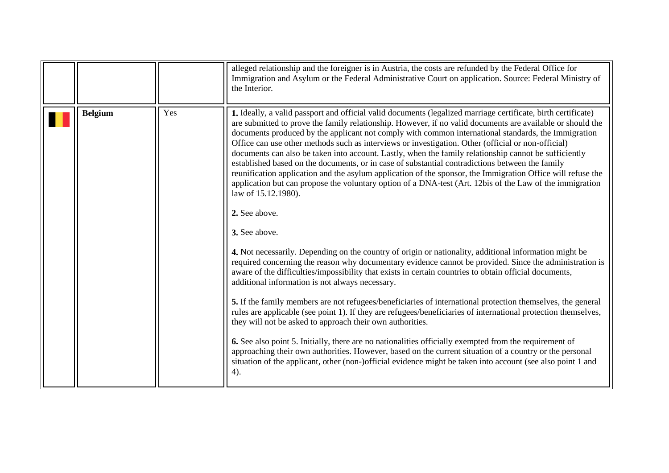<span id="page-3-0"></span>

|                |     | alleged relationship and the foreigner is in Austria, the costs are refunded by the Federal Office for<br>Immigration and Asylum or the Federal Administrative Court on application. Source: Federal Ministry of<br>the Interior.                                                                                                                                                                                                                                                                                                                                                                                                                                                                                                                                                                                                                                                                                       |
|----------------|-----|-------------------------------------------------------------------------------------------------------------------------------------------------------------------------------------------------------------------------------------------------------------------------------------------------------------------------------------------------------------------------------------------------------------------------------------------------------------------------------------------------------------------------------------------------------------------------------------------------------------------------------------------------------------------------------------------------------------------------------------------------------------------------------------------------------------------------------------------------------------------------------------------------------------------------|
| <b>Belgium</b> | Yes | 1. Ideally, a valid passport and official valid documents (legalized marriage certificate, birth certificate)<br>are submitted to prove the family relationship. However, if no valid documents are available or should the<br>documents produced by the applicant not comply with common international standards, the Immigration<br>Office can use other methods such as interviews or investigation. Other (official or non-official)<br>documents can also be taken into account. Lastly, when the family relationship cannot be sufficiently<br>established based on the documents, or in case of substantial contradictions between the family<br>reunification application and the asylum application of the sponsor, the Immigration Office will refuse the<br>application but can propose the voluntary option of a DNA-test (Art. 12bis of the Law of the immigration<br>law of 15.12.1980).<br>2. See above. |
|                |     | 3. See above.                                                                                                                                                                                                                                                                                                                                                                                                                                                                                                                                                                                                                                                                                                                                                                                                                                                                                                           |
|                |     | 4. Not necessarily. Depending on the country of origin or nationality, additional information might be<br>required concerning the reason why documentary evidence cannot be provided. Since the administration is<br>aware of the difficulties/impossibility that exists in certain countries to obtain official documents,<br>additional information is not always necessary.                                                                                                                                                                                                                                                                                                                                                                                                                                                                                                                                          |
|                |     | 5. If the family members are not refugees/beneficiaries of international protection themselves, the general<br>rules are applicable (see point 1). If they are refugees/beneficiaries of international protection themselves,<br>they will not be asked to approach their own authorities.                                                                                                                                                                                                                                                                                                                                                                                                                                                                                                                                                                                                                              |
|                |     | 6. See also point 5. Initially, there are no nationalities officially exempted from the requirement of<br>approaching their own authorities. However, based on the current situation of a country or the personal<br>situation of the applicant, other (non-)official evidence might be taken into account (see also point 1 and<br>4).                                                                                                                                                                                                                                                                                                                                                                                                                                                                                                                                                                                 |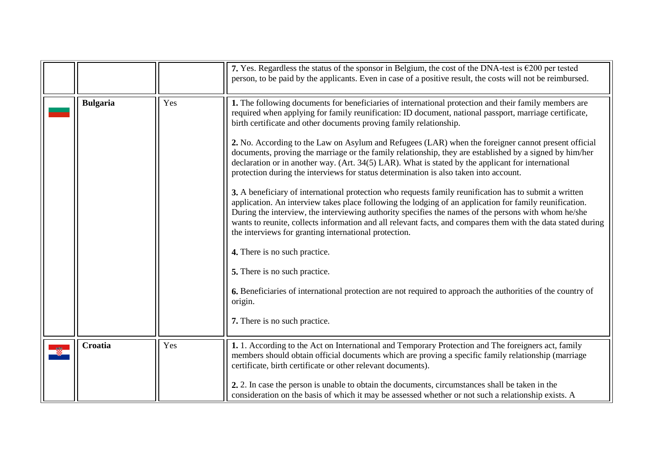<span id="page-4-1"></span><span id="page-4-0"></span>

|                 |     | 7. Yes. Regardless the status of the sponsor in Belgium, the cost of the DNA-test is $\epsilon$ 200 per tested<br>person, to be paid by the applicants. Even in case of a positive result, the costs will not be reimbursed.                                                                                                                                                                                                                                                                                                                                                                                                                                                                                                                                                                                                                                                                                                                                                                                                                                                                                                                                                                                                                                                                                                                                                                                                              |
|-----------------|-----|-------------------------------------------------------------------------------------------------------------------------------------------------------------------------------------------------------------------------------------------------------------------------------------------------------------------------------------------------------------------------------------------------------------------------------------------------------------------------------------------------------------------------------------------------------------------------------------------------------------------------------------------------------------------------------------------------------------------------------------------------------------------------------------------------------------------------------------------------------------------------------------------------------------------------------------------------------------------------------------------------------------------------------------------------------------------------------------------------------------------------------------------------------------------------------------------------------------------------------------------------------------------------------------------------------------------------------------------------------------------------------------------------------------------------------------------|
| <b>Bulgaria</b> | Yes | 1. The following documents for beneficiaries of international protection and their family members are<br>required when applying for family reunification: ID document, national passport, marriage certificate,<br>birth certificate and other documents proving family relationship.<br>2. No. According to the Law on Asylum and Refugees (LAR) when the foreigner cannot present official<br>documents, proving the marriage or the family relationship, they are established by a signed by him/her<br>declaration or in another way. (Art. 34(5) LAR). What is stated by the applicant for international<br>protection during the interviews for status determination is also taken into account.<br>3. A beneficiary of international protection who requests family reunification has to submit a written<br>application. An interview takes place following the lodging of an application for family reunification.<br>During the interview, the interviewing authority specifies the names of the persons with whom he/she<br>wants to reunite, collects information and all relevant facts, and compares them with the data stated during<br>the interviews for granting international protection.<br>4. There is no such practice.<br>5. There is no such practice.<br>6. Beneficiaries of international protection are not required to approach the authorities of the country of<br>origin.<br>7. There is no such practice. |
| Croatia         | Yes | 1. 1. According to the Act on International and Temporary Protection and The foreigners act, family<br>members should obtain official documents which are proving a specific family relationship (marriage<br>certificate, birth certificate or other relevant documents).<br>2. 2. In case the person is unable to obtain the documents, circumstances shall be taken in the<br>consideration on the basis of which it may be assessed whether or not such a relationship exists. A                                                                                                                                                                                                                                                                                                                                                                                                                                                                                                                                                                                                                                                                                                                                                                                                                                                                                                                                                      |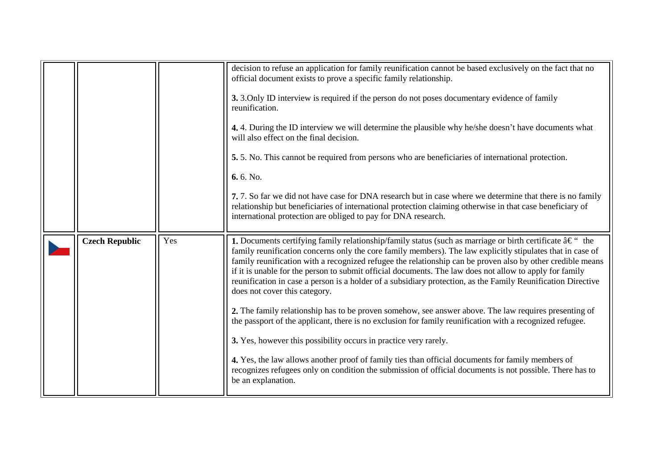<span id="page-5-0"></span>

|                       |     | decision to refuse an application for family reunification cannot be based exclusively on the fact that no<br>official document exists to prove a specific family relationship.                                                                                                                                                                                                                                                                                                                                                                                                                                               |
|-----------------------|-----|-------------------------------------------------------------------------------------------------------------------------------------------------------------------------------------------------------------------------------------------------------------------------------------------------------------------------------------------------------------------------------------------------------------------------------------------------------------------------------------------------------------------------------------------------------------------------------------------------------------------------------|
|                       |     | 3. 3. Only ID interview is required if the person do not poses documentary evidence of family<br>reunification.                                                                                                                                                                                                                                                                                                                                                                                                                                                                                                               |
|                       |     | 4.4. During the ID interview we will determine the plausible why he/she doesn't have documents what<br>will also effect on the final decision.                                                                                                                                                                                                                                                                                                                                                                                                                                                                                |
|                       |     | 5. 5. No. This cannot be required from persons who are beneficiaries of international protection.                                                                                                                                                                                                                                                                                                                                                                                                                                                                                                                             |
|                       |     | 6.6. No.                                                                                                                                                                                                                                                                                                                                                                                                                                                                                                                                                                                                                      |
|                       |     | 7. 7. So far we did not have case for DNA research but in case where we determine that there is no family<br>relationship but beneficiaries of international protection claiming otherwise in that case beneficiary of<br>international protection are obliged to pay for DNA research.                                                                                                                                                                                                                                                                                                                                       |
| <b>Czech Republic</b> | Yes | <b>1.</b> Documents certifying family relationship/family status (such as marriage or birth certificate $\hat{a} \in \mathcal{C}$ the<br>family reunification concerns only the core family members). The law explicitly stipulates that in case of<br>family reunification with a recognized refugee the relationship can be proven also by other credible means<br>if it is unable for the person to submit official documents. The law does not allow to apply for family<br>reunification in case a person is a holder of a subsidiary protection, as the Family Reunification Directive<br>does not cover this category. |
|                       |     | 2. The family relationship has to be proven somehow, see answer above. The law requires presenting of<br>the passport of the applicant, there is no exclusion for family reunification with a recognized refugee.                                                                                                                                                                                                                                                                                                                                                                                                             |
|                       |     | 3. Yes, however this possibility occurs in practice very rarely.                                                                                                                                                                                                                                                                                                                                                                                                                                                                                                                                                              |
|                       |     | 4. Yes, the law allows another proof of family ties than official documents for family members of<br>recognizes refugees only on condition the submission of official documents is not possible. There has to<br>be an explanation.                                                                                                                                                                                                                                                                                                                                                                                           |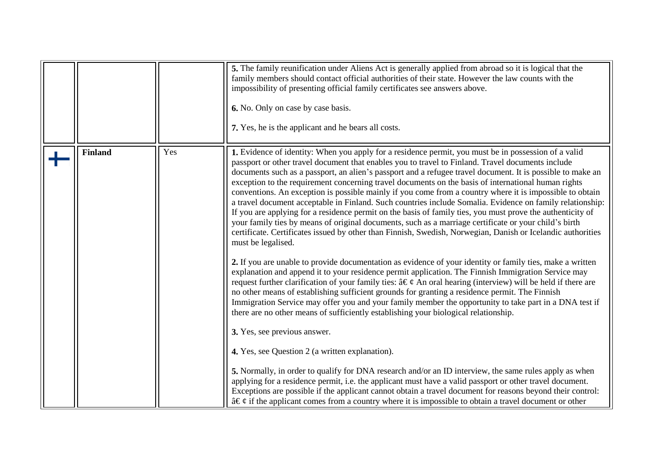<span id="page-6-0"></span>

|                |     | 5. The family reunification under Aliens Act is generally applied from abroad so it is logical that the<br>family members should contact official authorities of their state. However the law counts with the<br>impossibility of presenting official family certificates see answers above.<br>6. No. Only on case by case basis.<br>7. Yes, he is the applicant and he bears all costs.                                                                                                                                                                                                                                                                                                                                                                                                                                                                                                                                                                                                                                                                                                                                        |
|----------------|-----|----------------------------------------------------------------------------------------------------------------------------------------------------------------------------------------------------------------------------------------------------------------------------------------------------------------------------------------------------------------------------------------------------------------------------------------------------------------------------------------------------------------------------------------------------------------------------------------------------------------------------------------------------------------------------------------------------------------------------------------------------------------------------------------------------------------------------------------------------------------------------------------------------------------------------------------------------------------------------------------------------------------------------------------------------------------------------------------------------------------------------------|
| <b>Finland</b> | Yes | 1. Evidence of identity: When you apply for a residence permit, you must be in possession of a valid<br>passport or other travel document that enables you to travel to Finland. Travel documents include<br>documents such as a passport, an alien's passport and a refugee travel document. It is possible to make an<br>exception to the requirement concerning travel documents on the basis of international human rights<br>conventions. An exception is possible mainly if you come from a country where it is impossible to obtain<br>a travel document acceptable in Finland. Such countries include Somalia. Evidence on family relationship:<br>If you are applying for a residence permit on the basis of family ties, you must prove the authenticity of<br>your family ties by means of original documents, such as a marriage certificate or your child's birth<br>certificate. Certificates issued by other than Finnish, Swedish, Norwegian, Danish or Icelandic authorities<br>must be legalised.<br>2. If you are unable to provide documentation as evidence of your identity or family ties, make a written |
|                |     | explanation and append it to your residence permit application. The Finnish Immigration Service may<br>request further clarification of your family ties: $\hat{a} \in \mathcal{C}$ An oral hearing (interview) will be held if there are<br>no other means of establishing sufficient grounds for granting a residence permit. The Finnish<br>Immigration Service may offer you and your family member the opportunity to take part in a DNA test if<br>there are no other means of sufficiently establishing your biological relationship.<br>3. Yes, see previous answer.                                                                                                                                                                                                                                                                                                                                                                                                                                                                                                                                                     |
|                |     | 4. Yes, see Question 2 (a written explanation).<br>5. Normally, in order to qualify for DNA research and/or an ID interview, the same rules apply as when<br>applying for a residence permit, i.e. the applicant must have a valid passport or other travel document.<br>Exceptions are possible if the applicant cannot obtain a travel document for reasons beyond their control:<br>$\hat{a} \in \mathcal{C}$ if the applicant comes from a country where it is impossible to obtain a travel document or other                                                                                                                                                                                                                                                                                                                                                                                                                                                                                                                                                                                                               |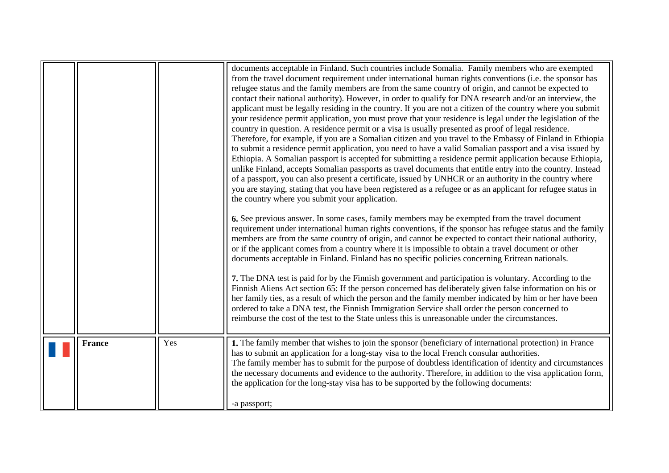<span id="page-7-0"></span>

|               |     | documents acceptable in Finland. Such countries include Somalia. Family members who are exempted<br>from the travel document requirement under international human rights conventions (i.e. the sponsor has<br>refugee status and the family members are from the same country of origin, and cannot be expected to<br>contact their national authority). However, in order to qualify for DNA research and/or an interview, the<br>applicant must be legally residing in the country. If you are not a citizen of the country where you submit<br>your residence permit application, you must prove that your residence is legal under the legislation of the<br>country in question. A residence permit or a visa is usually presented as proof of legal residence.<br>Therefore, for example, if you are a Somalian citizen and you travel to the Embassy of Finland in Ethiopia<br>to submit a residence permit application, you need to have a valid Somalian passport and a visa issued by<br>Ethiopia. A Somalian passport is accepted for submitting a residence permit application because Ethiopia,<br>unlike Finland, accepts Somalian passports as travel documents that entitle entry into the country. Instead<br>of a passport, you can also present a certificate, issued by UNHCR or an authority in the country where<br>you are staying, stating that you have been registered as a refugee or as an applicant for refugee status in<br>the country where you submit your application.<br>6. See previous answer. In some cases, family members may be exempted from the travel document<br>requirement under international human rights conventions, if the sponsor has refugee status and the family<br>members are from the same country of origin, and cannot be expected to contact their national authority,<br>or if the applicant comes from a country where it is impossible to obtain a travel document or other<br>documents acceptable in Finland. Finland has no specific policies concerning Eritrean nationals.<br>7. The DNA test is paid for by the Finnish government and participation is voluntary. According to the<br>Finnish Aliens Act section 65: If the person concerned has deliberately given false information on his or<br>her family ties, as a result of which the person and the family member indicated by him or her have been<br>ordered to take a DNA test, the Finnish Immigration Service shall order the person concerned to<br>reimburse the cost of the test to the State unless this is unreasonable under the circumstances. |
|---------------|-----|---------------------------------------------------------------------------------------------------------------------------------------------------------------------------------------------------------------------------------------------------------------------------------------------------------------------------------------------------------------------------------------------------------------------------------------------------------------------------------------------------------------------------------------------------------------------------------------------------------------------------------------------------------------------------------------------------------------------------------------------------------------------------------------------------------------------------------------------------------------------------------------------------------------------------------------------------------------------------------------------------------------------------------------------------------------------------------------------------------------------------------------------------------------------------------------------------------------------------------------------------------------------------------------------------------------------------------------------------------------------------------------------------------------------------------------------------------------------------------------------------------------------------------------------------------------------------------------------------------------------------------------------------------------------------------------------------------------------------------------------------------------------------------------------------------------------------------------------------------------------------------------------------------------------------------------------------------------------------------------------------------------------------------------------------------------------------------------------------------------------------------------------------------------------------------------------------------------------------------------------------------------------------------------------------------------------------------------------------------------------------------------------------------------------------------------------------------------------------------------------------------------------------------------------------------------------------------------------|
| <b>France</b> | Yes | 1. The family member that wishes to join the sponsor (beneficiary of international protection) in France<br>has to submit an application for a long-stay visa to the local French consular authorities.<br>The family member has to submit for the purpose of doubtless identification of identity and circumstances<br>the necessary documents and evidence to the authority. Therefore, in addition to the visa application form,<br>the application for the long-stay visa has to be supported by the following documents:<br>-a passport;                                                                                                                                                                                                                                                                                                                                                                                                                                                                                                                                                                                                                                                                                                                                                                                                                                                                                                                                                                                                                                                                                                                                                                                                                                                                                                                                                                                                                                                                                                                                                                                                                                                                                                                                                                                                                                                                                                                                                                                                                                               |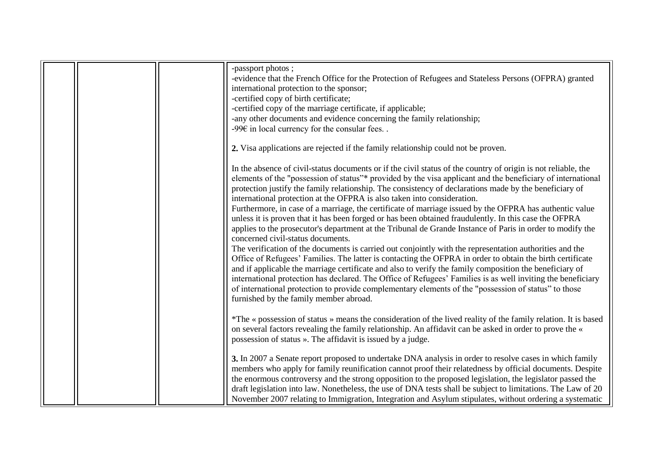|  | -passport photos;                                                                                              |
|--|----------------------------------------------------------------------------------------------------------------|
|  | -evidence that the French Office for the Protection of Refugees and Stateless Persons (OFPRA) granted          |
|  | international protection to the sponsor;                                                                       |
|  | -certified copy of birth certificate;                                                                          |
|  | -certified copy of the marriage certificate, if applicable;                                                    |
|  | -any other documents and evidence concerning the family relationship;                                          |
|  | -99 $\varepsilon$ in local currency for the consular fees. .                                                   |
|  |                                                                                                                |
|  | 2. Visa applications are rejected if the family relationship could not be proven.                              |
|  | In the absence of civil-status documents or if the civil status of the country of origin is not reliable, the  |
|  | elements of the "possession of status"* provided by the visa applicant and the beneficiary of international    |
|  |                                                                                                                |
|  | protection justify the family relationship. The consistency of declarations made by the beneficiary of         |
|  | international protection at the OFPRA is also taken into consideration.                                        |
|  | Furthermore, in case of a marriage, the certificate of marriage issued by the OFPRA has authentic value        |
|  | unless it is proven that it has been forged or has been obtained fraudulently. In this case the OFPRA          |
|  | applies to the prosecutor's department at the Tribunal de Grande Instance of Paris in order to modify the      |
|  | concerned civil-status documents.                                                                              |
|  | The verification of the documents is carried out conjointly with the representation authorities and the        |
|  | Office of Refugees' Families. The latter is contacting the OFPRA in order to obtain the birth certificate      |
|  | and if applicable the marriage certificate and also to verify the family composition the beneficiary of        |
|  | international protection has declared. The Office of Refugees' Families is as well inviting the beneficiary    |
|  |                                                                                                                |
|  | of international protection to provide complementary elements of the "possession of status" to those           |
|  | furnished by the family member abroad.                                                                         |
|  |                                                                                                                |
|  | *The « possession of status » means the consideration of the lived reality of the family relation. It is based |
|  | on several factors revealing the family relationship. An affidavit can be asked in order to prove the «        |
|  | possession of status ». The affidavit is issued by a judge.                                                    |
|  |                                                                                                                |
|  | 3. In 2007 a Senate report proposed to undertake DNA analysis in order to resolve cases in which family        |
|  | members who apply for family reunification cannot proof their relatedness by official documents. Despite       |
|  | the enormous controversy and the strong opposition to the proposed legislation, the legislator passed the      |
|  | draft legislation into law. Nonetheless, the use of DNA tests shall be subject to limitations. The Law of 20   |
|  |                                                                                                                |
|  | November 2007 relating to Immigration, Integration and Asylum stipulates, without ordering a systematic        |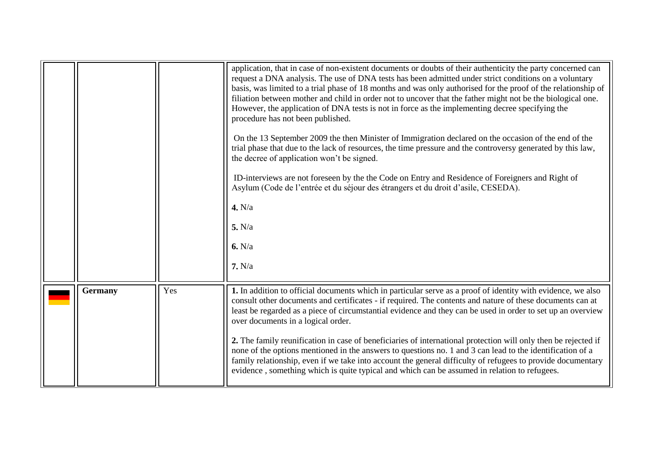<span id="page-9-0"></span>

|         |     | application, that in case of non-existent documents or doubts of their authenticity the party concerned can<br>request a DNA analysis. The use of DNA tests has been admitted under strict conditions on a voluntary<br>basis, was limited to a trial phase of 18 months and was only authorised for the proof of the relationship of<br>filiation between mother and child in order not to uncover that the father might not be the biological one.<br>However, the application of DNA tests is not in force as the implementing decree specifying the<br>procedure has not been published.<br>On the 13 September 2009 the then Minister of Immigration declared on the occasion of the end of the<br>trial phase that due to the lack of resources, the time pressure and the controversy generated by this law,<br>the decree of application won't be signed.<br>ID-interviews are not foreseen by the the Code on Entry and Residence of Foreigners and Right of<br>Asylum (Code de l'entrée et du séjour des étrangers et du droit d'asile, CESEDA).<br>4. N/a<br>5. N/a<br>6. N/a<br>7. N/a |
|---------|-----|----------------------------------------------------------------------------------------------------------------------------------------------------------------------------------------------------------------------------------------------------------------------------------------------------------------------------------------------------------------------------------------------------------------------------------------------------------------------------------------------------------------------------------------------------------------------------------------------------------------------------------------------------------------------------------------------------------------------------------------------------------------------------------------------------------------------------------------------------------------------------------------------------------------------------------------------------------------------------------------------------------------------------------------------------------------------------------------------------|
| Germany | Yes | 1. In addition to official documents which in particular serve as a proof of identity with evidence, we also<br>consult other documents and certificates - if required. The contents and nature of these documents can at<br>least be regarded as a piece of circumstantial evidence and they can be used in order to set up an overview<br>over documents in a logical order.<br>2. The family reunification in case of beneficiaries of international protection will only then be rejected if<br>none of the options mentioned in the answers to questions no. 1 and 3 can lead to the identification of a<br>family relationship, even if we take into account the general difficulty of refugees to provide documentary<br>evidence, something which is quite typical and which can be assumed in relation to refugees.                                                                                                                                                                                                                                                                       |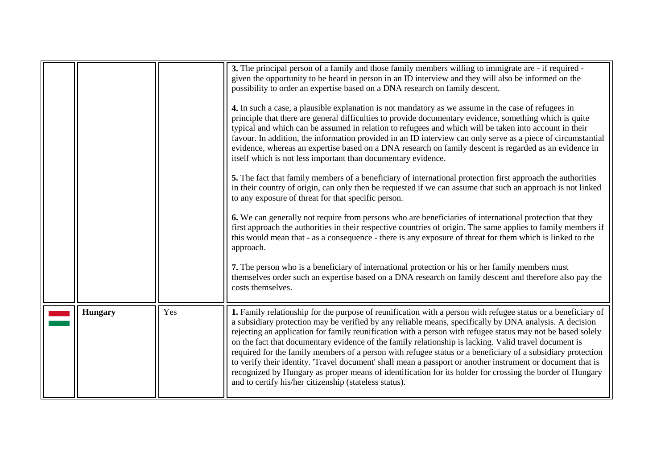<span id="page-10-0"></span>

|                |     | 3. The principal person of a family and those family members willing to immigrate are - if required -<br>given the opportunity to be heard in person in an ID interview and they will also be informed on the<br>possibility to order an expertise based on a DNA research on family descent.<br>4. In such a case, a plausible explanation is not mandatory as we assume in the case of refugees in<br>principle that there are general difficulties to provide documentary evidence, something which is quite<br>typical and which can be assumed in relation to refugees and which will be taken into account in their<br>favour. In addition, the information provided in an ID interview can only serve as a piece of circumstantial<br>evidence, whereas an expertise based on a DNA research on family descent is regarded as an evidence in<br>itself which is not less important than documentary evidence.<br>5. The fact that family members of a beneficiary of international protection first approach the authorities<br>in their country of origin, can only then be requested if we can assume that such an approach is not linked<br>to any exposure of threat for that specific person.<br>6. We can generally not require from persons who are beneficiaries of international protection that they<br>first approach the authorities in their respective countries of origin. The same applies to family members if<br>this would mean that - as a consequence - there is any exposure of threat for them which is linked to the<br>approach.<br>7. The person who is a beneficiary of international protection or his or her family members must<br>themselves order such an expertise based on a DNA research on family descent and therefore also pay the<br>costs themselves. |
|----------------|-----|------------------------------------------------------------------------------------------------------------------------------------------------------------------------------------------------------------------------------------------------------------------------------------------------------------------------------------------------------------------------------------------------------------------------------------------------------------------------------------------------------------------------------------------------------------------------------------------------------------------------------------------------------------------------------------------------------------------------------------------------------------------------------------------------------------------------------------------------------------------------------------------------------------------------------------------------------------------------------------------------------------------------------------------------------------------------------------------------------------------------------------------------------------------------------------------------------------------------------------------------------------------------------------------------------------------------------------------------------------------------------------------------------------------------------------------------------------------------------------------------------------------------------------------------------------------------------------------------------------------------------------------------------------------------------------------------------------------------------------------------------------------------------------------------------|
| <b>Hungary</b> | Yes | 1. Family relationship for the purpose of reunification with a person with refugee status or a beneficiary of<br>a subsidiary protection may be verified by any reliable means, specifically by DNA analysis. A decision<br>rejecting an application for family reunification with a person with refugee status may not be based solely<br>on the fact that documentary evidence of the family relationship is lacking. Valid travel document is<br>required for the family members of a person with refugee status or a beneficiary of a subsidiary protection<br>to verify their identity. 'Travel document' shall mean a passport or another instrument or document that is<br>recognized by Hungary as proper means of identification for its holder for crossing the border of Hungary<br>and to certify his/her citizenship (stateless status).                                                                                                                                                                                                                                                                                                                                                                                                                                                                                                                                                                                                                                                                                                                                                                                                                                                                                                                                                |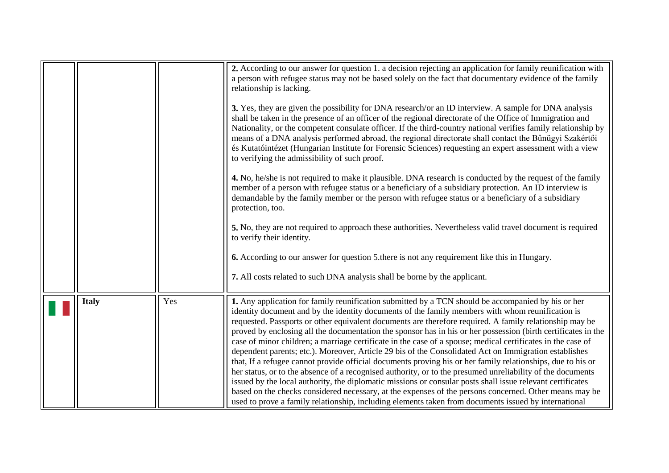<span id="page-11-0"></span>

|              |     | 2. According to our answer for question 1. a decision rejecting an application for family reunification with<br>a person with refugee status may not be based solely on the fact that documentary evidence of the family<br>relationship is lacking.<br>3. Yes, they are given the possibility for DNA research/or an ID interview. A sample for DNA analysis<br>shall be taken in the presence of an officer of the regional directorate of the Office of Immigration and<br>Nationality, or the competent consulate officer. If the third-country national verifies family relationship by<br>means of a DNA analysis performed abroad, the regional directorate shall contact the Bünügyi Szakértői<br>és Kutatóintézet (Hungarian Institute for Forensic Sciences) requesting an expert assessment with a view<br>to verifying the admissibility of such proof.<br>4. No, he/she is not required to make it plausible. DNA research is conducted by the request of the family<br>member of a person with refugee status or a beneficiary of a subsidiary protection. An ID interview is<br>demandable by the family member or the person with refugee status or a beneficiary of a subsidiary<br>protection, too.<br>5. No, they are not required to approach these authorities. Nevertheless valid travel document is required<br>to verify their identity.<br><b>6.</b> According to our answer for question 5 there is not any requirement like this in Hungary.<br>7. All costs related to such DNA analysis shall be borne by the applicant. |
|--------------|-----|-------------------------------------------------------------------------------------------------------------------------------------------------------------------------------------------------------------------------------------------------------------------------------------------------------------------------------------------------------------------------------------------------------------------------------------------------------------------------------------------------------------------------------------------------------------------------------------------------------------------------------------------------------------------------------------------------------------------------------------------------------------------------------------------------------------------------------------------------------------------------------------------------------------------------------------------------------------------------------------------------------------------------------------------------------------------------------------------------------------------------------------------------------------------------------------------------------------------------------------------------------------------------------------------------------------------------------------------------------------------------------------------------------------------------------------------------------------------------------------------------------------------------------------------------------|
| <b>Italy</b> | Yes | 1. Any application for family reunification submitted by a TCN should be accompanied by his or her<br>identity document and by the identity documents of the family members with whom reunification is<br>requested. Passports or other equivalent documents are therefore required. A family relationship may be<br>proved by enclosing all the documentation the sponsor has in his or her possession (birth certificates in the<br>case of minor children; a marriage certificate in the case of a spouse; medical certificates in the case of<br>dependent parents; etc.). Moreover, Article 29 bis of the Consolidated Act on Immigration establishes<br>that, If a refugee cannot provide official documents proving his or her family relationships, due to his or<br>her status, or to the absence of a recognised authority, or to the presumed unreliability of the documents<br>issued by the local authority, the diplomatic missions or consular posts shall issue relevant certificates<br>based on the checks considered necessary, at the expenses of the persons concerned. Other means may be<br>used to prove a family relationship, including elements taken from documents issued by international                                                                                                                                                                                                                                                                                                                               |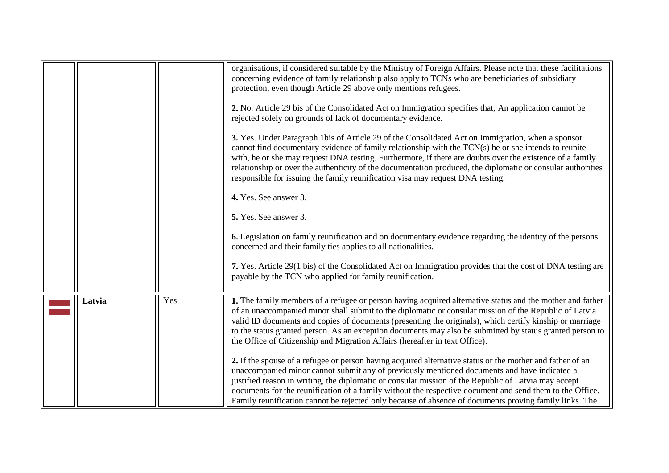<span id="page-12-0"></span>

|        |     | organisations, if considered suitable by the Ministry of Foreign Affairs. Please note that these facilitations<br>concerning evidence of family relationship also apply to TCNs who are beneficiaries of subsidiary<br>protection, even though Article 29 above only mentions refugees.                                                                                                                                                                                                                                                 |
|--------|-----|-----------------------------------------------------------------------------------------------------------------------------------------------------------------------------------------------------------------------------------------------------------------------------------------------------------------------------------------------------------------------------------------------------------------------------------------------------------------------------------------------------------------------------------------|
|        |     | 2. No. Article 29 bis of the Consolidated Act on Immigration specifies that, An application cannot be<br>rejected solely on grounds of lack of documentary evidence.                                                                                                                                                                                                                                                                                                                                                                    |
|        |     | 3. Yes. Under Paragraph 1bis of Article 29 of the Consolidated Act on Immigration, when a sponsor<br>cannot find documentary evidence of family relationship with the TCN(s) he or she intends to reunite<br>with, he or she may request DNA testing. Furthermore, if there are doubts over the existence of a family<br>relationship or over the authenticity of the documentation produced, the diplomatic or consular authorities<br>responsible for issuing the family reunification visa may request DNA testing.                  |
|        |     | 4. Yes. See answer 3.                                                                                                                                                                                                                                                                                                                                                                                                                                                                                                                   |
|        |     | 5. Yes. See answer 3.                                                                                                                                                                                                                                                                                                                                                                                                                                                                                                                   |
|        |     | <b>6.</b> Legislation on family reunification and on documentary evidence regarding the identity of the persons<br>concerned and their family ties applies to all nationalities.                                                                                                                                                                                                                                                                                                                                                        |
|        |     | 7. Yes. Article 29(1 bis) of the Consolidated Act on Immigration provides that the cost of DNA testing are<br>payable by the TCN who applied for family reunification.                                                                                                                                                                                                                                                                                                                                                                  |
| Latvia | Yes | 1. The family members of a refugee or person having acquired alternative status and the mother and father<br>of an unaccompanied minor shall submit to the diplomatic or consular mission of the Republic of Latvia<br>valid ID documents and copies of documents (presenting the originals), which certify kinship or marriage<br>to the status granted person. As an exception documents may also be submitted by status granted person to<br>the Office of Citizenship and Migration Affairs (hereafter in text Office).             |
|        |     | 2. If the spouse of a refugee or person having acquired alternative status or the mother and father of an<br>unaccompanied minor cannot submit any of previously mentioned documents and have indicated a<br>justified reason in writing, the diplomatic or consular mission of the Republic of Latvia may accept<br>documents for the reunification of a family without the respective document and send them to the Office.<br>Family reunification cannot be rejected only because of absence of documents proving family links. The |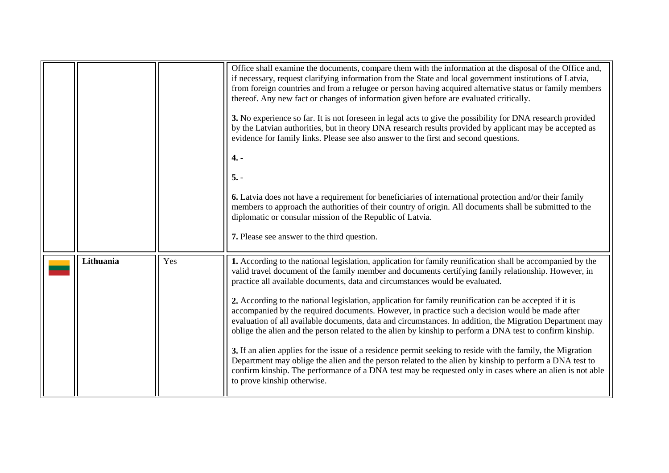<span id="page-13-0"></span>

|           |     | Office shall examine the documents, compare them with the information at the disposal of the Office and,<br>if necessary, request clarifying information from the State and local government institutions of Latvia,<br>from foreign countries and from a refugee or person having acquired alternative status or family members<br>thereof. Any new fact or changes of information given before are evaluated critically.<br>3. No experience so far. It is not foreseen in legal acts to give the possibility for DNA research provided<br>by the Latvian authorities, but in theory DNA research results provided by applicant may be accepted as<br>evidence for family links. Please see also answer to the first and second questions.<br>$4. -$<br>$5. -$<br><b>6.</b> Latvia does not have a requirement for beneficiaries of international protection and/or their family<br>members to approach the authorities of their country of origin. All documents shall be submitted to the<br>diplomatic or consular mission of the Republic of Latvia.<br>7. Please see answer to the third question.      |
|-----------|-----|----------------------------------------------------------------------------------------------------------------------------------------------------------------------------------------------------------------------------------------------------------------------------------------------------------------------------------------------------------------------------------------------------------------------------------------------------------------------------------------------------------------------------------------------------------------------------------------------------------------------------------------------------------------------------------------------------------------------------------------------------------------------------------------------------------------------------------------------------------------------------------------------------------------------------------------------------------------------------------------------------------------------------------------------------------------------------------------------------------------|
| Lithuania | Yes | 1. According to the national legislation, application for family reunification shall be accompanied by the<br>valid travel document of the family member and documents certifying family relationship. However, in<br>practice all available documents, data and circumstances would be evaluated.<br>2. According to the national legislation, application for family reunification can be accepted if it is<br>accompanied by the required documents. However, in practice such a decision would be made after<br>evaluation of all available documents, data and circumstances. In addition, the Migration Department may<br>oblige the alien and the person related to the alien by kinship to perform a DNA test to confirm kinship.<br>3. If an alien applies for the issue of a residence permit seeking to reside with the family, the Migration<br>Department may oblige the alien and the person related to the alien by kinship to perform a DNA test to<br>confirm kinship. The performance of a DNA test may be requested only in cases where an alien is not able<br>to prove kinship otherwise. |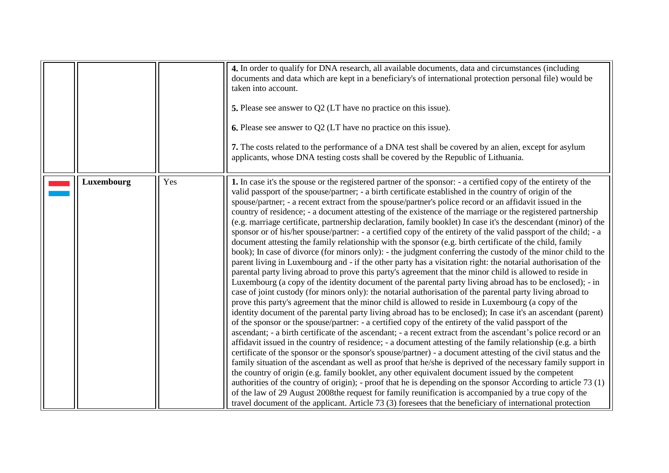<span id="page-14-0"></span>

|            |     | 4. In order to qualify for DNA research, all available documents, data and circumstances (including<br>documents and data which are kept in a beneficiary's of international protection personal file) would be<br>taken into account.<br>5. Please see answer to Q2 (LT have no practice on this issue).<br><b>6.</b> Please see answer to Q2 (LT have no practice on this issue).<br>7. The costs related to the performance of a DNA test shall be covered by an alien, except for asylum<br>applicants, whose DNA testing costs shall be covered by the Republic of Lithuania.                                                                                                                                                                                                                                                                                                                                                                                                                                                                                                                                                                                                                                                                                                                                                                                                                                                                                                                                                                                                                                                                                                                                                                                                                                                                                                                                                                                                                                                                                                                                                                                                                                                                                                                                                                                                                                                                                                                                                                                                                                                      |
|------------|-----|-----------------------------------------------------------------------------------------------------------------------------------------------------------------------------------------------------------------------------------------------------------------------------------------------------------------------------------------------------------------------------------------------------------------------------------------------------------------------------------------------------------------------------------------------------------------------------------------------------------------------------------------------------------------------------------------------------------------------------------------------------------------------------------------------------------------------------------------------------------------------------------------------------------------------------------------------------------------------------------------------------------------------------------------------------------------------------------------------------------------------------------------------------------------------------------------------------------------------------------------------------------------------------------------------------------------------------------------------------------------------------------------------------------------------------------------------------------------------------------------------------------------------------------------------------------------------------------------------------------------------------------------------------------------------------------------------------------------------------------------------------------------------------------------------------------------------------------------------------------------------------------------------------------------------------------------------------------------------------------------------------------------------------------------------------------------------------------------------------------------------------------------------------------------------------------------------------------------------------------------------------------------------------------------------------------------------------------------------------------------------------------------------------------------------------------------------------------------------------------------------------------------------------------------------------------------------------------------------------------------------------------------|
| Luxembourg | Yes | 1. In case it's the spouse or the registered partner of the sponsor: - a certified copy of the entirety of the<br>valid passport of the spouse/partner; - a birth certificate established in the country of origin of the<br>spouse/partner; - a recent extract from the spouse/partner's police record or an affidavit issued in the<br>country of residence; - a document attesting of the existence of the marriage or the registered partnership<br>(e.g. marriage certificate, partnership declaration, family booklet) In case it's the descendant (minor) of the<br>sponsor or of his/her spouse/partner: - a certified copy of the entirety of the valid passport of the child; - a<br>document attesting the family relationship with the sponsor (e.g. birth certificate of the child, family<br>book); In case of divorce (for minors only): - the judgment conferring the custody of the minor child to the<br>parent living in Luxembourg and - if the other party has a visitation right: the notarial authorisation of the<br>parental party living abroad to prove this party's agreement that the minor child is allowed to reside in<br>Luxembourg (a copy of the identity document of the parental party living abroad has to be enclosed); - in<br>case of joint custody (for minors only): the notarial authorisation of the parental party living abroad to<br>prove this party's agreement that the minor child is allowed to reside in Luxembourg (a copy of the<br>identity document of the parental party living abroad has to be enclosed); In case it's an ascendant (parent)<br>of the sponsor or the spouse/partner: - a certified copy of the entirety of the valid passport of the<br>ascendant; - a birth certificate of the ascendant; - a recent extract from the ascendant's police record or an<br>affidavit issued in the country of residence; - a document attesting of the family relationship (e.g. a birth<br>certificate of the sponsor or the sponsor's spouse/partner) - a document attesting of the civil status and the<br>family situation of the ascendant as well as proof that he/she is deprived of the necessary family support in<br>the country of origin (e.g. family booklet, any other equivalent document issued by the competent<br>authorities of the country of origin); - proof that he is depending on the sponsor According to article 73 (1)<br>of the law of 29 August 2008 the request for family reunification is accompanied by a true copy of the<br>travel document of the applicant. Article 73 (3) foresees that the beneficiary of international protection |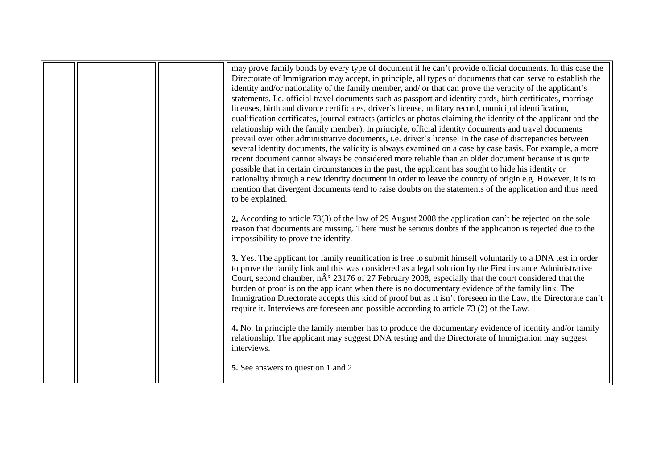|  | may prove family bonds by every type of document if he can't provide official documents. In this case the<br>Directorate of Immigration may accept, in principle, all types of documents that can serve to establish the<br>identity and/or nationality of the family member, and/ or that can prove the veracity of the applicant's<br>statements. I.e. official travel documents such as passport and identity cards, birth certificates, marriage<br>licenses, birth and divorce certificates, driver's license, military record, municipal identification,<br>qualification certificates, journal extracts (articles or photos claiming the identity of the applicant and the<br>relationship with the family member). In principle, official identity documents and travel documents<br>prevail over other administrative documents, i.e. driver's license. In the case of discrepancies between<br>several identity documents, the validity is always examined on a case by case basis. For example, a more<br>recent document cannot always be considered more reliable than an older document because it is quite<br>possible that in certain circumstances in the past, the applicant has sought to hide his identity or<br>nationality through a new identity document in order to leave the country of origin e.g. However, it is to<br>mention that divergent documents tend to raise doubts on the statements of the application and thus need<br>to be explained. |
|--|---------------------------------------------------------------------------------------------------------------------------------------------------------------------------------------------------------------------------------------------------------------------------------------------------------------------------------------------------------------------------------------------------------------------------------------------------------------------------------------------------------------------------------------------------------------------------------------------------------------------------------------------------------------------------------------------------------------------------------------------------------------------------------------------------------------------------------------------------------------------------------------------------------------------------------------------------------------------------------------------------------------------------------------------------------------------------------------------------------------------------------------------------------------------------------------------------------------------------------------------------------------------------------------------------------------------------------------------------------------------------------------------------------------------------------------------------------------------------------|
|  | 2. According to article 73(3) of the law of 29 August 2008 the application can't be rejected on the sole<br>reason that documents are missing. There must be serious doubts if the application is rejected due to the<br>impossibility to prove the identity.<br>3. Yes. The applicant for family reunification is free to submit himself voluntarily to a DNA test in order<br>to prove the family link and this was considered as a legal solution by the First instance Administrative<br>Court, second chamber, $n\hat{A}^{\circ}$ 23176 of 27 February 2008, especially that the court considered that the<br>burden of proof is on the applicant when there is no documentary evidence of the family link. The<br>Immigration Directorate accepts this kind of proof but as it isn't foreseen in the Law, the Directorate can't<br>require it. Interviews are foreseen and possible according to article 73 (2) of the Law.<br>4. No. In principle the family member has to produce the documentary evidence of identity and/or family<br>relationship. The applicant may suggest DNA testing and the Directorate of Immigration may suggest<br>interviews.<br><b>5.</b> See answers to question 1 and 2.                                                                                                                                                                                                                                                                 |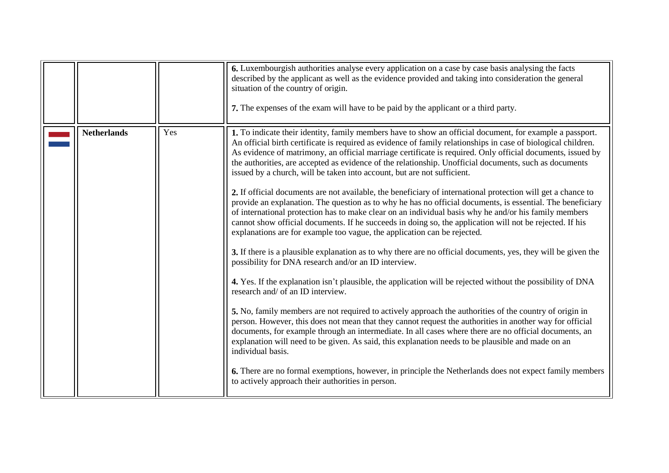<span id="page-16-0"></span>

|                    |     | 6. Luxembourgish authorities analyse every application on a case by case basis analysing the facts<br>described by the applicant as well as the evidence provided and taking into consideration the general<br>situation of the country of origin.<br>7. The expenses of the exam will have to be paid by the applicant or a third party.                                                                                                                                                                                                                                                                                                                                                                                                                                                                                                                                                                                                                                                                                                                                                                                                                                                                                                                                                                                                                                                                                                                                                                                                                                                                                                                                                                                                                                                                                                                                                                                                                                                                           |
|--------------------|-----|---------------------------------------------------------------------------------------------------------------------------------------------------------------------------------------------------------------------------------------------------------------------------------------------------------------------------------------------------------------------------------------------------------------------------------------------------------------------------------------------------------------------------------------------------------------------------------------------------------------------------------------------------------------------------------------------------------------------------------------------------------------------------------------------------------------------------------------------------------------------------------------------------------------------------------------------------------------------------------------------------------------------------------------------------------------------------------------------------------------------------------------------------------------------------------------------------------------------------------------------------------------------------------------------------------------------------------------------------------------------------------------------------------------------------------------------------------------------------------------------------------------------------------------------------------------------------------------------------------------------------------------------------------------------------------------------------------------------------------------------------------------------------------------------------------------------------------------------------------------------------------------------------------------------------------------------------------------------------------------------------------------------|
| <b>Netherlands</b> | Yes | 1. To indicate their identity, family members have to show an official document, for example a passport.<br>An official birth certificate is required as evidence of family relationships in case of biological children.<br>As evidence of matrimony, an official marriage certificate is required. Only official documents, issued by<br>the authorities, are accepted as evidence of the relationship. Unofficial documents, such as documents<br>issued by a church, will be taken into account, but are not sufficient.<br>2. If official documents are not available, the beneficiary of international protection will get a chance to<br>provide an explanation. The question as to why he has no official documents, is essential. The beneficiary<br>of international protection has to make clear on an individual basis why he and/or his family members<br>cannot show official documents. If he succeeds in doing so, the application will not be rejected. If his<br>explanations are for example too vague, the application can be rejected.<br>3. If there is a plausible explanation as to why there are no official documents, yes, they will be given the<br>possibility for DNA research and/or an ID interview.<br>4. Yes. If the explanation isn't plausible, the application will be rejected without the possibility of DNA<br>research and/ of an ID interview.<br>5. No, family members are not required to actively approach the authorities of the country of origin in<br>person. However, this does not mean that they cannot request the authorities in another way for official<br>documents, for example through an intermediate. In all cases where there are no official documents, an<br>explanation will need to be given. As said, this explanation needs to be plausible and made on an<br>individual basis.<br>6. There are no formal exemptions, however, in principle the Netherlands does not expect family members<br>to actively approach their authorities in person. |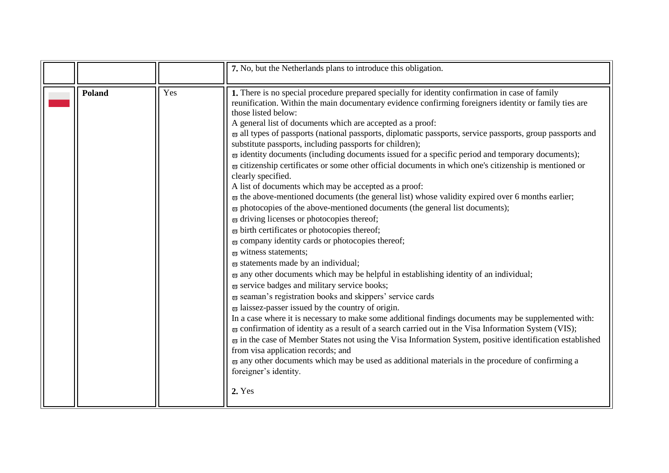<span id="page-17-0"></span>

|        |     | 7. No, but the Netherlands plans to introduce this obligation.                                                                                                                                                                                                                                                                                                                                                                                                                                                                                                                                                                                                                                                                                                                                                                                                                                                                                                                                                                                                                                                                                                                                                                                                                                                                                                                                                                                                                                                                                                                                                                                                                                                                                                                                                                                                                                                                                                                                                                                                                                                                                                                                          |
|--------|-----|---------------------------------------------------------------------------------------------------------------------------------------------------------------------------------------------------------------------------------------------------------------------------------------------------------------------------------------------------------------------------------------------------------------------------------------------------------------------------------------------------------------------------------------------------------------------------------------------------------------------------------------------------------------------------------------------------------------------------------------------------------------------------------------------------------------------------------------------------------------------------------------------------------------------------------------------------------------------------------------------------------------------------------------------------------------------------------------------------------------------------------------------------------------------------------------------------------------------------------------------------------------------------------------------------------------------------------------------------------------------------------------------------------------------------------------------------------------------------------------------------------------------------------------------------------------------------------------------------------------------------------------------------------------------------------------------------------------------------------------------------------------------------------------------------------------------------------------------------------------------------------------------------------------------------------------------------------------------------------------------------------------------------------------------------------------------------------------------------------------------------------------------------------------------------------------------------------|
| Poland | Yes | 1. There is no special procedure prepared specially for identity confirmation in case of family<br>reunification. Within the main documentary evidence confirming foreigners identity or family ties are<br>those listed below:<br>A general list of documents which are accepted as a proof:<br>$\overline{\omega}$ all types of passports (national passports, diplomatic passports, service passports, group passports and<br>substitute passports, including passports for children);<br>$\overline{\omega}$ identity documents (including documents issued for a specific period and temporary documents);<br>$\overline{\omega}$ citizenship certificates or some other official documents in which one's citizenship is mentioned or<br>clearly specified.<br>A list of documents which may be accepted as a proof:<br>$\overline{\omega}$ the above-mentioned documents (the general list) whose validity expired over 6 months earlier;<br>$\overline{\omega}$ photocopies of the above-mentioned documents (the general list documents);<br>$\overline{\omega}$ driving licenses or photocopies thereof;<br>$\varpi$ birth certificates or photocopies thereof;<br>$\varpi$ company identity cards or photocopies thereof;<br>$\pi$ witness statements;<br>$\overline{\omega}$ statements made by an individual;<br>$\overline{\omega}$ any other documents which may be helpful in establishing identity of an individual;<br>$\omega$ service badges and military service books;<br>$\overline{\omega}$ seaman's registration books and skippers' service cards<br>$\omega$ laissez-passer issued by the country of origin.<br>In a case where it is necessary to make some additional findings documents may be supplemented with:<br>$\overline{\omega}$ confirmation of identity as a result of a search carried out in the Visa Information System (VIS);<br>$\overline{\omega}$ in the case of Member States not using the Visa Information System, positive identification established<br>from visa application records; and<br>$\overline{\omega}$ any other documents which may be used as additional materials in the procedure of confirming a<br>foreigner's identity.<br>2. Yes |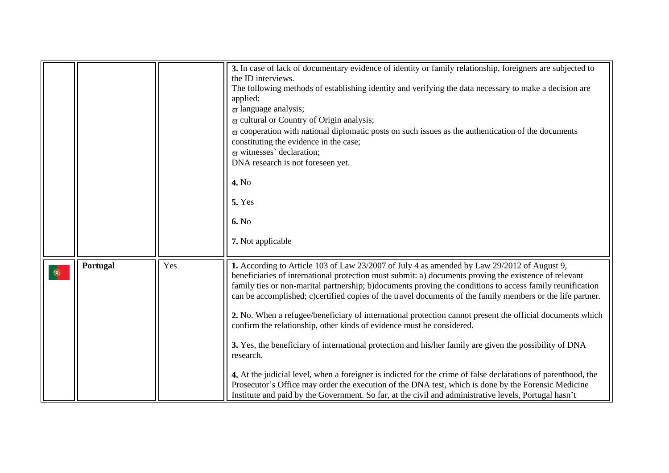<span id="page-18-0"></span>

|   |          |     | 3. In case of lack of documentary evidence of identity or family relationship, foreigners are subjected to<br>the ID interviews.<br>The following methods of establishing identity and verifying the data necessary to make a decision are<br>applied:<br>$\varpi$ language analysis;<br>$\overline{\omega}$ cultural or Country of Origin analysis;<br>$\overline{\omega}$ cooperation with national diplomatic posts on such issues as the authentication of the documents<br>constituting the evidence in the case;<br>$\varpi$ witnesses' declaration;<br>DNA research is not foreseen yet.<br>4. No<br><b>5. Yes</b><br>6. No<br>7. Not applicable                                                                                                                                                                                                                                                                                                                                                                                                                        |
|---|----------|-----|--------------------------------------------------------------------------------------------------------------------------------------------------------------------------------------------------------------------------------------------------------------------------------------------------------------------------------------------------------------------------------------------------------------------------------------------------------------------------------------------------------------------------------------------------------------------------------------------------------------------------------------------------------------------------------------------------------------------------------------------------------------------------------------------------------------------------------------------------------------------------------------------------------------------------------------------------------------------------------------------------------------------------------------------------------------------------------|
| ۱ | Portugal | Yes | 1. According to Article 103 of Law 23/2007 of July 4 as amended by Law 29/2012 of August 9,<br>beneficiaries of international protection must submit: a) documents proving the existence of relevant<br>family ties or non-marital partnership; b)documents proving the conditions to access family reunification<br>can be accomplished; c)certified copies of the travel documents of the family members or the life partner.<br>2. No. When a refugee/beneficiary of international protection cannot present the official documents which<br>confirm the relationship, other kinds of evidence must be considered.<br>3. Yes, the beneficiary of international protection and his/her family are given the possibility of DNA<br>research.<br>4. At the judicial level, when a foreigner is indicted for the crime of false declarations of parenthood, the<br>Prosecutor's Office may order the execution of the DNA test, which is done by the Forensic Medicine<br>Institute and paid by the Government. So far, at the civil and administrative levels, Portugal hasn't |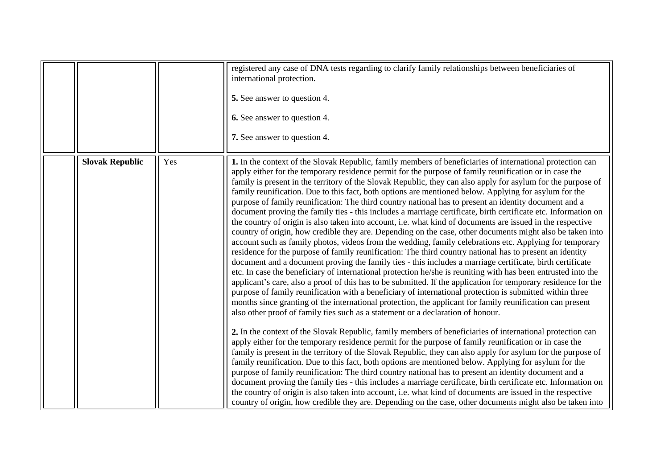<span id="page-19-0"></span>

|                        |     | registered any case of DNA tests regarding to clarify family relationships between beneficiaries of<br>international protection.<br>5. See answer to question 4.<br><b>6.</b> See answer to question 4.<br>7. See answer to question 4.                                                                                                                                                                                                                                                                                                                                                                                                                                                                                                                                                                                                                                                                                                                                                                                                                                                                                                                                                                                                                                                                                                                                                                                                                                                                                                                                                                                                                                                                                                                                                                                                                                                                                                                                                                                                                                                                                                                                                                                                                                                                                                                                                                                                                                                                                                                                                                                                                                                     |
|------------------------|-----|---------------------------------------------------------------------------------------------------------------------------------------------------------------------------------------------------------------------------------------------------------------------------------------------------------------------------------------------------------------------------------------------------------------------------------------------------------------------------------------------------------------------------------------------------------------------------------------------------------------------------------------------------------------------------------------------------------------------------------------------------------------------------------------------------------------------------------------------------------------------------------------------------------------------------------------------------------------------------------------------------------------------------------------------------------------------------------------------------------------------------------------------------------------------------------------------------------------------------------------------------------------------------------------------------------------------------------------------------------------------------------------------------------------------------------------------------------------------------------------------------------------------------------------------------------------------------------------------------------------------------------------------------------------------------------------------------------------------------------------------------------------------------------------------------------------------------------------------------------------------------------------------------------------------------------------------------------------------------------------------------------------------------------------------------------------------------------------------------------------------------------------------------------------------------------------------------------------------------------------------------------------------------------------------------------------------------------------------------------------------------------------------------------------------------------------------------------------------------------------------------------------------------------------------------------------------------------------------------------------------------------------------------------------------------------------------|
| <b>Slovak Republic</b> | Yes | 1. In the context of the Slovak Republic, family members of beneficiaries of international protection can<br>apply either for the temporary residence permit for the purpose of family reunification or in case the<br>family is present in the territory of the Slovak Republic, they can also apply for asylum for the purpose of<br>family reunification. Due to this fact, both options are mentioned below. Applying for asylum for the<br>purpose of family reunification: The third country national has to present an identity document and a<br>document proving the family ties - this includes a marriage certificate, birth certificate etc. Information on<br>the country of origin is also taken into account, i.e. what kind of documents are issued in the respective<br>country of origin, how credible they are. Depending on the case, other documents might also be taken into<br>account such as family photos, videos from the wedding, family celebrations etc. Applying for temporary<br>residence for the purpose of family reunification: The third country national has to present an identity<br>document and a document proving the family ties - this includes a marriage certificate, birth certificate<br>etc. In case the beneficiary of international protection he/she is reuniting with has been entrusted into the<br>applicant's care, also a proof of this has to be submitted. If the application for temporary residence for the<br>purpose of family reunification with a beneficiary of international protection is submitted within three<br>months since granting of the international protection, the applicant for family reunification can present<br>also other proof of family ties such as a statement or a declaration of honour.<br>2. In the context of the Slovak Republic, family members of beneficiaries of international protection can<br>apply either for the temporary residence permit for the purpose of family reunification or in case the<br>family is present in the territory of the Slovak Republic, they can also apply for asylum for the purpose of<br>family reunification. Due to this fact, both options are mentioned below. Applying for asylum for the<br>purpose of family reunification: The third country national has to present an identity document and a<br>document proving the family ties - this includes a marriage certificate, birth certificate etc. Information on<br>the country of origin is also taken into account, i.e. what kind of documents are issued in the respective<br>country of origin, how credible they are. Depending on the case, other documents might also be taken into |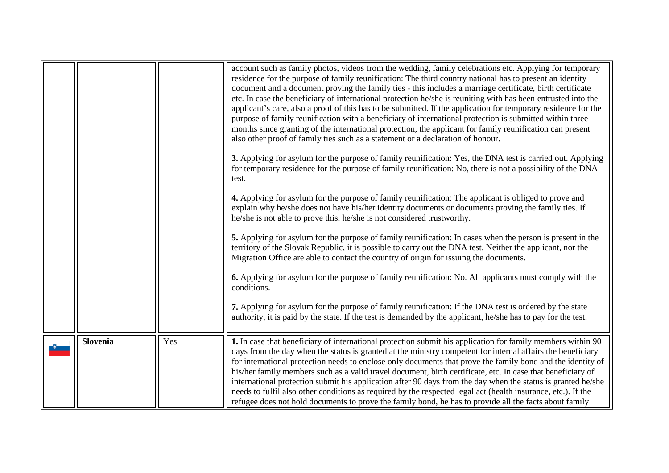<span id="page-20-0"></span>

|                 |     | account such as family photos, videos from the wedding, family celebrations etc. Applying for temporary<br>residence for the purpose of family reunification: The third country national has to present an identity<br>document and a document proving the family ties - this includes a marriage certificate, birth certificate<br>etc. In case the beneficiary of international protection he/she is reuniting with has been entrusted into the<br>applicant's care, also a proof of this has to be submitted. If the application for temporary residence for the<br>purpose of family reunification with a beneficiary of international protection is submitted within three<br>months since granting of the international protection, the applicant for family reunification can present<br>also other proof of family ties such as a statement or a declaration of honour.<br>3. Applying for asylum for the purpose of family reunification: Yes, the DNA test is carried out. Applying<br>for temporary residence for the purpose of family reunification: No, there is not a possibility of the DNA<br>test.<br>4. Applying for asylum for the purpose of family reunification: The applicant is obliged to prove and<br>explain why he/she does not have his/her identity documents or documents proving the family ties. If<br>he/she is not able to prove this, he/she is not considered trustworthy.<br>5. Applying for asylum for the purpose of family reunification: In cases when the person is present in the<br>territory of the Slovak Republic, it is possible to carry out the DNA test. Neither the applicant, nor the<br>Migration Office are able to contact the country of origin for issuing the documents.<br><b>6.</b> Applying for asylum for the purpose of family reunification: No. All applicants must comply with the<br>conditions.<br>7. Applying for asylum for the purpose of family reunification: If the DNA test is ordered by the state<br>authority, it is paid by the state. If the test is demanded by the applicant, he/she has to pay for the test. |
|-----------------|-----|----------------------------------------------------------------------------------------------------------------------------------------------------------------------------------------------------------------------------------------------------------------------------------------------------------------------------------------------------------------------------------------------------------------------------------------------------------------------------------------------------------------------------------------------------------------------------------------------------------------------------------------------------------------------------------------------------------------------------------------------------------------------------------------------------------------------------------------------------------------------------------------------------------------------------------------------------------------------------------------------------------------------------------------------------------------------------------------------------------------------------------------------------------------------------------------------------------------------------------------------------------------------------------------------------------------------------------------------------------------------------------------------------------------------------------------------------------------------------------------------------------------------------------------------------------------------------------------------------------------------------------------------------------------------------------------------------------------------------------------------------------------------------------------------------------------------------------------------------------------------------------------------------------------------------------------------------------------------------------------------------------------------------------------------------------------------------------------------------|
| <b>Slovenia</b> | Yes | 1. In case that beneficiary of international protection submit his application for family members within 90<br>days from the day when the status is granted at the ministry competent for internal affairs the beneficiary<br>for international protection needs to enclose only documents that prove the family bond and the identity of<br>his/her family members such as a valid travel document, birth certificate, etc. In case that beneficiary of<br>international protection submit his application after 90 days from the day when the status is granted he/she<br>needs to fulfil also other conditions as required by the respected legal act (health insurance, etc.). If the<br>refugee does not hold documents to prove the family bond, he has to provide all the facts about family                                                                                                                                                                                                                                                                                                                                                                                                                                                                                                                                                                                                                                                                                                                                                                                                                                                                                                                                                                                                                                                                                                                                                                                                                                                                                                |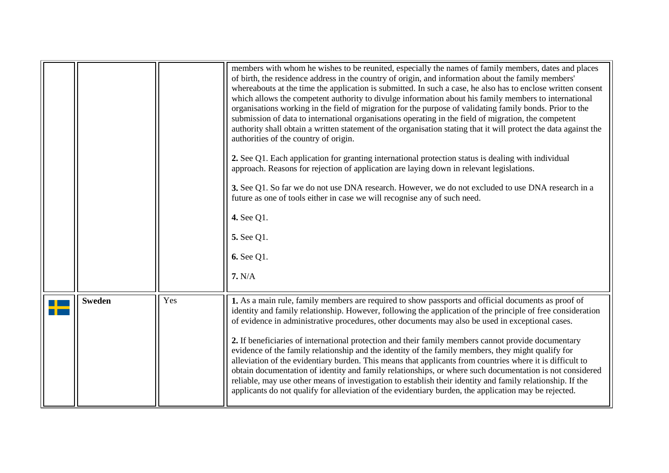<span id="page-21-0"></span>

|               |     | members with whom he wishes to be reunited, especially the names of family members, dates and places<br>of birth, the residence address in the country of origin, and information about the family members'<br>whereabouts at the time the application is submitted. In such a case, he also has to enclose written consent<br>which allows the competent authority to divulge information about his family members to international<br>organisations working in the field of migration for the purpose of validating family bonds. Prior to the<br>submission of data to international organisations operating in the field of migration, the competent<br>authority shall obtain a written statement of the organisation stating that it will protect the data against the<br>authorities of the country of origin.<br>2. See Q1. Each application for granting international protection status is dealing with individual<br>approach. Reasons for rejection of application are laying down in relevant legislations.<br>3. See Q1. So far we do not use DNA research. However, we do not excluded to use DNA research in a<br>future as one of tools either in case we will recognise any of such need.<br>4. See Q1.<br>5. See Q1.<br>6. See Q1.<br>7. N/A |
|---------------|-----|-----------------------------------------------------------------------------------------------------------------------------------------------------------------------------------------------------------------------------------------------------------------------------------------------------------------------------------------------------------------------------------------------------------------------------------------------------------------------------------------------------------------------------------------------------------------------------------------------------------------------------------------------------------------------------------------------------------------------------------------------------------------------------------------------------------------------------------------------------------------------------------------------------------------------------------------------------------------------------------------------------------------------------------------------------------------------------------------------------------------------------------------------------------------------------------------------------------------------------------------------------------------|
| <b>Sweden</b> | Yes | 1. As a main rule, family members are required to show passports and official documents as proof of<br>identity and family relationship. However, following the application of the principle of free consideration<br>of evidence in administrative procedures, other documents may also be used in exceptional cases.<br>2. If beneficiaries of international protection and their family members cannot provide documentary<br>evidence of the family relationship and the identity of the family members, they might qualify for<br>alleviation of the evidentiary burden. This means that applicants from countries where it is difficult to<br>obtain documentation of identity and family relationships, or where such documentation is not considered<br>reliable, may use other means of investigation to establish their identity and family relationship. If the<br>applicants do not qualify for alleviation of the evidentiary burden, the application may be rejected.                                                                                                                                                                                                                                                                             |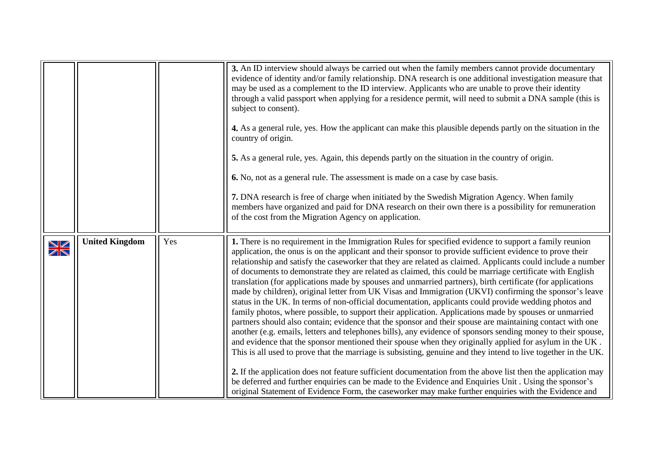<span id="page-22-0"></span>

|             |                       |     | 3. An ID interview should always be carried out when the family members cannot provide documentary<br>evidence of identity and/or family relationship. DNA research is one additional investigation measure that<br>may be used as a complement to the ID interview. Applicants who are unable to prove their identity<br>through a valid passport when applying for a residence permit, will need to submit a DNA sample (this is<br>subject to consent).<br>4. As a general rule, yes. How the applicant can make this plausible depends partly on the situation in the<br>country of origin.<br>5. As a general rule, yes. Again, this depends partly on the situation in the country of origin.<br>6. No, not as a general rule. The assessment is made on a case by case basis.<br>7. DNA research is free of charge when initiated by the Swedish Migration Agency. When family<br>members have organized and paid for DNA research on their own there is a possibility for remuneration<br>of the cost from the Migration Agency on application.                                                                                                                                                                                                                                                                                                                                                                                                                                                                                                                                                                                                                              |
|-------------|-----------------------|-----|--------------------------------------------------------------------------------------------------------------------------------------------------------------------------------------------------------------------------------------------------------------------------------------------------------------------------------------------------------------------------------------------------------------------------------------------------------------------------------------------------------------------------------------------------------------------------------------------------------------------------------------------------------------------------------------------------------------------------------------------------------------------------------------------------------------------------------------------------------------------------------------------------------------------------------------------------------------------------------------------------------------------------------------------------------------------------------------------------------------------------------------------------------------------------------------------------------------------------------------------------------------------------------------------------------------------------------------------------------------------------------------------------------------------------------------------------------------------------------------------------------------------------------------------------------------------------------------------------------------------------------------------------------------------------------------|
| $\geqslant$ | <b>United Kingdom</b> | Yes | 1. There is no requirement in the Immigration Rules for specified evidence to support a family reunion<br>application, the onus is on the applicant and their sponsor to provide sufficient evidence to prove their<br>relationship and satisfy the caseworker that they are related as claimed. Applicants could include a number<br>of documents to demonstrate they are related as claimed, this could be marriage certificate with English<br>translation (for applications made by spouses and unmarried partners), birth certificate (for applications<br>made by children), original letter from UK Visas and Immigration (UKVI) confirming the sponsor's leave<br>status in the UK. In terms of non-official documentation, applicants could provide wedding photos and<br>family photos, where possible, to support their application. Applications made by spouses or unmarried<br>partners should also contain; evidence that the sponsor and their spouse are maintaining contact with one<br>another (e.g. emails, letters and telephones bills), any evidence of sponsors sending money to their spouse,<br>and evidence that the sponsor mentioned their spouse when they originally applied for asylum in the UK.<br>This is all used to prove that the marriage is subsisting, genuine and they intend to live together in the UK.<br>2. If the application does not feature sufficient documentation from the above list then the application may<br>be deferred and further enquiries can be made to the Evidence and Enquiries Unit. Using the sponsor's<br>original Statement of Evidence Form, the caseworker may make further enquiries with the Evidence and |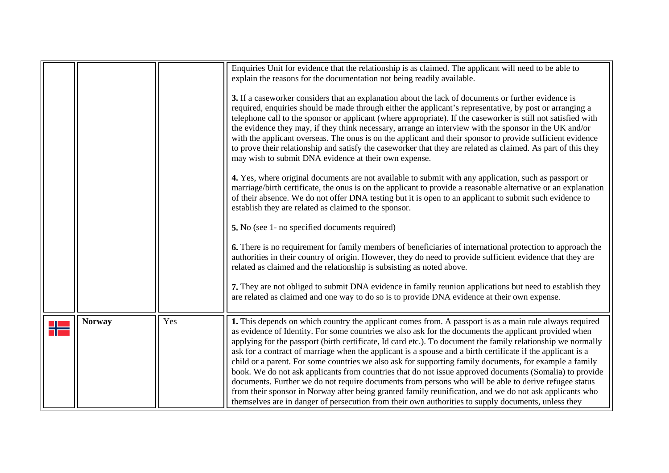<span id="page-23-0"></span>

|               |     | Enquiries Unit for evidence that the relationship is as claimed. The applicant will need to be able to<br>explain the reasons for the documentation not being readily available.<br>3. If a caseworker considers that an explanation about the lack of documents or further evidence is<br>required, enquiries should be made through either the applicant's representative, by post or arranging a<br>telephone call to the sponsor or applicant (where appropriate). If the caseworker is still not satisfied with<br>the evidence they may, if they think necessary, arrange an interview with the sponsor in the UK and/or<br>with the applicant overseas. The onus is on the applicant and their sponsor to provide sufficient evidence<br>to prove their relationship and satisfy the caseworker that they are related as claimed. As part of this they<br>may wish to submit DNA evidence at their own expense.<br>4. Yes, where original documents are not available to submit with any application, such as passport or<br>marriage/birth certificate, the onus is on the applicant to provide a reasonable alternative or an explanation<br>of their absence. We do not offer DNA testing but it is open to an applicant to submit such evidence to<br>establish they are related as claimed to the sponsor.<br>5. No (see 1- no specified documents required)<br>6. There is no requirement for family members of beneficiaries of international protection to approach the<br>authorities in their country of origin. However, they do need to provide sufficient evidence that they are<br>related as claimed and the relationship is subsisting as noted above.<br>7. They are not obliged to submit DNA evidence in family reunion applications but need to establish they<br>are related as claimed and one way to do so is to provide DNA evidence at their own expense. |
|---------------|-----|-------------------------------------------------------------------------------------------------------------------------------------------------------------------------------------------------------------------------------------------------------------------------------------------------------------------------------------------------------------------------------------------------------------------------------------------------------------------------------------------------------------------------------------------------------------------------------------------------------------------------------------------------------------------------------------------------------------------------------------------------------------------------------------------------------------------------------------------------------------------------------------------------------------------------------------------------------------------------------------------------------------------------------------------------------------------------------------------------------------------------------------------------------------------------------------------------------------------------------------------------------------------------------------------------------------------------------------------------------------------------------------------------------------------------------------------------------------------------------------------------------------------------------------------------------------------------------------------------------------------------------------------------------------------------------------------------------------------------------------------------------------------------------------------------------------------------------------------------------------------------------------------|
| <b>Norway</b> | Yes | 1. This depends on which country the applicant comes from. A passport is as a main rule always required<br>as evidence of Identity. For some countries we also ask for the documents the applicant provided when<br>applying for the passport (birth certificate, Id card etc.). To document the family relationship we normally<br>ask for a contract of marriage when the applicant is a spouse and a birth certificate if the applicant is a<br>child or a parent. For some countries we also ask for supporting family documents, for example a family<br>book. We do not ask applicants from countries that do not issue approved documents (Somalia) to provide<br>documents. Further we do not require documents from persons who will be able to derive refugee status<br>from their sponsor in Norway after being granted family reunification, and we do not ask applicants who<br>themselves are in danger of persecution from their own authorities to supply documents, unless they                                                                                                                                                                                                                                                                                                                                                                                                                                                                                                                                                                                                                                                                                                                                                                                                                                                                                          |